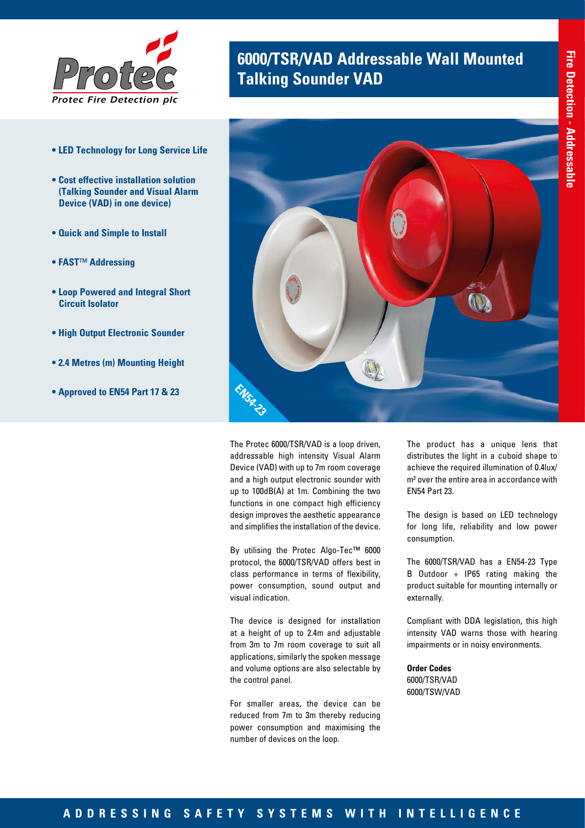

- **LED Technology for Long Service Life**
- **Cost effective installation solution (Talking Sounder and Visual Alarm Device (VAD) in one device)**
- **Quick and Simple to Install**
- **FAST**™ **Addressing**
- **Loop Powered and Integral Short Circuit Isolator**
- **High Output Electronic Sounder**
- **2.4 Metres (m) Mounting Height**
- **Approved to EN54 Part 17 & 23**

# **6000/TSR/VAD Addressable Wall Mounted Talking Sounder VAD**



The Protec 6000/TSR/VAD is a loop driven, addressable high intensity Visual Alarm Device (VAD) with up to 7m room coverage and a high output electronic sounder with up to 100dB(A) at 1m. Combining the two functions in one compact high efficiency design improves the aesthetic appearance and simplifies the installation of the device.

By utilising the Protec Algo-Tec™ 6000 protocol, the 6000/TSR/VAD offers best in class performance in terms of flexibility, power consumption, sound output and visual indication.

The device is designed for installation at a height of up to 2.4m and adjustable from 3m to 7m room coverage to suit all applications, similarly the spoken message and volume options are also selectable by the control panel.

For smaller areas, the device can be reduced from 7m to 3m thereby reducing power consumption and maximising the number of devices on the loop.

The product has a unique lens that distributes the light in a cuboid shape to achieve the required illumination of 0.4lux/ m² over the entire area in accordance with EN54 Part 23.

The design is based on LED technology for long life, reliability and low power consumption.

The 6000/TSR/VAD has a EN54-23 Type B Outdoor + IP65 rating making the product suitable for mounting internally or externally.

Compliant with DDA legislation, this high intensity VAD warns those with hearing impairments or in noisy environments.

**Order Codes** 6000/TSR/VAD 6000/TSW/VAD